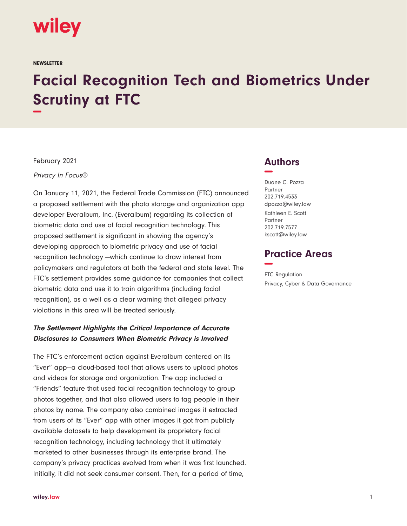

**NEWSLETTER** 

# **Facial Recognition Tech and Biometrics Under Scrutiny at FTC −**

February 2021

Privacy In Focus®

On January 11, 2021, the Federal Trade Commission (FTC) announced a proposed settlement with the photo storage and organization app developer Everalbum, Inc. (Everalbum) regarding its collection of biometric data and use of facial recognition technology. This proposed settlement is significant in showing the agency's developing approach to biometric privacy and use of facial recognition technology —which continue to draw interest from policymakers and regulators at both the federal and state level. The FTC's settlement provides some guidance for companies that collect biometric data and use it to train algorithms (including facial recognition), as a well as a clear warning that alleged privacy violations in this area will be treated seriously.

### **The Settlement Highlights the Critical Importance of Accurate Disclosures to Consumers When Biometric Privacy is Involved**

The FTC's enforcement action against Everalbum centered on its "Ever" app—a cloud-based tool that allows users to upload photos and videos for storage and organization. The app included a "Friends" feature that used facial recognition technology to group photos together, and that also allowed users to tag people in their photos by name. The company also combined images it extracted from users of its "Ever" app with other images it got from publicly available datasets to help development its proprietary facial recognition technology, including technology that it ultimately marketed to other businesses through its enterprise brand. The company's privacy practices evolved from when it was first launched. Initially, it did not seek consumer consent. Then, for a period of time,

## **Authors −**

Duane C. Pozza Partner 202.719.4533 dpozza@wiley.law Kathleen E. Scott Partner 202.719.7577 kscott@wiley.law

## **Practice Areas −**

FTC Regulation Privacy, Cyber & Data Governance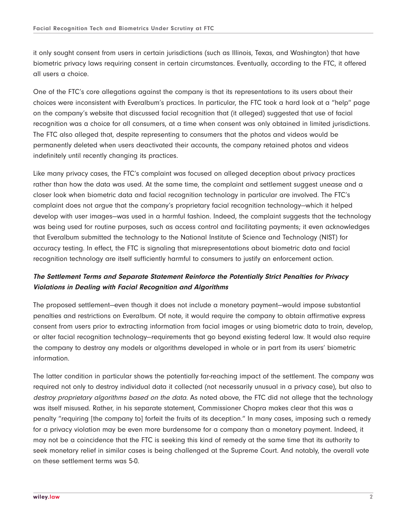it only sought consent from users in certain jurisdictions (such as Illinois, Texas, and Washington) that have biometric privacy laws requiring consent in certain circumstances. Eventually, according to the FTC, it offered all users a choice.

One of the FTC's core allegations against the company is that its representations to its users about their choices were inconsistent with Everalbum's practices. In particular, the FTC took a hard look at a "help" page on the company's website that discussed facial recognition that (it alleged) suggested that use of facial recognition was a choice for all consumers, at a time when consent was only obtained in limited jurisdictions. The FTC also alleged that, despite representing to consumers that the photos and videos would be permanently deleted when users deactivated their accounts, the company retained photos and videos indefinitely until recently changing its practices.

Like many privacy cases, the FTC's complaint was focused on alleged deception about privacy practices rather than how the data was used. At the same time, the complaint and settlement suggest unease and a closer look when biometric data and facial recognition technology in particular are involved. The FTC's complaint does not argue that the company's proprietary facial recognition technology—which it helped develop with user images—was used in a harmful fashion. Indeed, the complaint suggests that the technology was being used for routine purposes, such as access control and facilitating payments; it even acknowledges that Everalbum submitted the technology to the National Institute of Science and Technology (NIST) for accuracy testing. In effect, the FTC is signaling that misrepresentations about biometric data and facial recognition technology are itself sufficiently harmful to consumers to justify an enforcement action.

### **The Settlement Terms and Separate Statement Reinforce the Potentially Strict Penalties for Privacy Violations in Dealing with Facial Recognition and Algorithms**

The proposed settlement—even though it does not include a monetary payment—would impose substantial penalties and restrictions on Everalbum. Of note, it would require the company to obtain affirmative express consent from users prior to extracting information from facial images or using biometric data to train, develop, or alter facial recognition technology—requirements that go beyond existing federal law. It would also require the company to destroy any models or algorithms developed in whole or in part from its users' biometric information.

The latter condition in particular shows the potentially far-reaching impact of the settlement. The company was required not only to destroy individual data it collected (not necessarily unusual in a privacy case), but also to destroy proprietary algorithms based on the data. As noted above, the FTC did not allege that the technology was itself misused. Rather, in his separate statement, Commissioner Chopra makes clear that this was a penalty "requiring [the company to] forfeit the fruits of its deception." In many cases, imposing such a remedy for a privacy violation may be even more burdensome for a company than a monetary payment. Indeed, it may not be a coincidence that the FTC is seeking this kind of remedy at the same time that its authority to seek monetary relief in similar cases is being challenged at the Supreme Court. And notably, the overall vote on these settlement terms was 5-0.